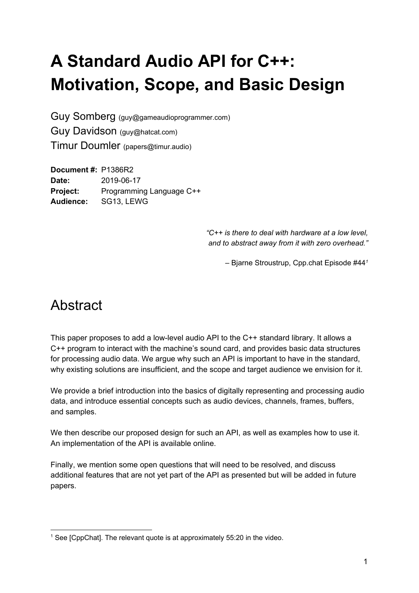# **A Standard Audio API for C++: Motivation, Scope, and Basic Design**

Guy Somberg (guy@gameaudioprogrammer.com) Guy Davidson (guy@hatcat.com) Timur Doumler (papers@timur.audio)

**Document #:** P1386R2 **Date:** 2019-06-17 **Project:** Programming Language C++ **Audience:** SG13, LEWG

> *"C++ is there to deal with hardware at a low level, and to abstract away from it with zero overhead."*

> > – Bjarne Stroustrup, Cpp.chat Episode #44*<sup>1</sup>*

## **Abstract**

This paper proposes to add a low-level audio API to the C++ standard library. It allows a C++ program to interact with the machine's sound card, and provides basic data structures for processing audio data. We argue why such an API is important to have in the standard, why existing solutions are insufficient, and the scope and target audience we envision for it.

We provide a brief introduction into the basics of digitally representing and processing audio data, and introduce essential concepts such as audio devices, channels, frames, buffers, and samples.

We then describe our proposed design for such an API, as well as examples how to use it. An implementation of the API is available online.

Finally, we mention some open questions that will need to be resolved, and discuss additional features that are not yet part of the API as presented but will be added in future papers.

 $1$  See [CppChat]. The relevant quote is at approximately 55:20 in the video.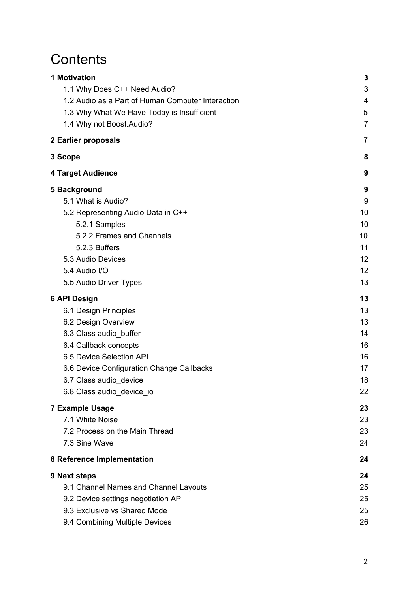## **Contents**

| <b>1 Motivation</b>                               | 3              |
|---------------------------------------------------|----------------|
| 1.1 Why Does C++ Need Audio?                      | 3              |
| 1.2 Audio as a Part of Human Computer Interaction | 4              |
| 1.3 Why What We Have Today is Insufficient        | 5              |
| 1.4 Why not Boost.Audio?                          | $\overline{7}$ |
| 2 Earlier proposals                               | 7              |
| 3 Scope                                           | 8              |
| <b>4 Target Audience</b>                          | 9              |
| 5 Background                                      | 9              |
| 5.1 What is Audio?                                | 9              |
| 5.2 Representing Audio Data in C++                | 10             |
| 5.2.1 Samples                                     | 10             |
| 5.2.2 Frames and Channels                         | 10             |
| 5.2.3 Buffers                                     | 11             |
| 5.3 Audio Devices                                 | 12             |
| 5.4 Audio I/O                                     | 12             |
| 5.5 Audio Driver Types                            | 13             |
| <b>6 API Design</b>                               | 13             |
| 6.1 Design Principles                             | 13             |
| 6.2 Design Overview                               | 13             |
| 6.3 Class audio_buffer                            | 14             |
| 6.4 Callback concepts                             | 16             |
| 6.5 Device Selection API                          | 16             |
| 6.6 Device Configuration Change Callbacks         | 17             |
| 6.7 Class audio_device                            | 18             |
| 6.8 Class audio_device_io                         | 22             |
| <b>7 Example Usage</b>                            | 23             |
| 7.1 White Noise                                   | 23             |
| 7.2 Process on the Main Thread                    | 23             |
| 7.3 Sine Wave                                     | 24             |
| 8 Reference Implementation                        | 24             |
| 9 Next steps                                      | 24             |
| 9.1 Channel Names and Channel Layouts             | 25             |
| 9.2 Device settings negotiation API               | 25             |
| 9.3 Exclusive vs Shared Mode                      | 25             |
| 9.4 Combining Multiple Devices                    | 26             |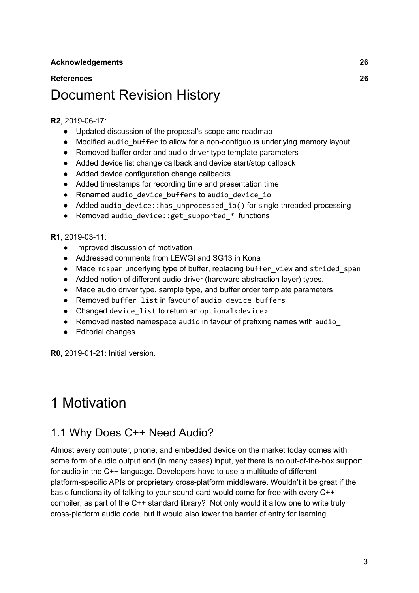#### **[References](#page-26-1) [26](#page-26-1)**

## Document Revision History

#### **R2**, 2019-06-17:

- Updated discussion of the proposal's scope and roadmap
- Modified audio buffer to allow for a non-contiguous underlying memory layout
- Removed buffer order and audio driver type template parameters
- Added device list change callback and device start/stop callback
- Added device configuration change callbacks
- Added timestamps for recording time and presentation time
- Renamed audio device buffers to audio device io
- Added audio device::has unprocessed io() for single-threaded processing
- Removed audio device:: get supported \* functions

#### **R1**, 2019-03-11:

- Improved discussion of motivation
- Addressed comments from LEWGI and SG13 in Kona
- Made mdspan underlying type of buffer, replacing buffer view and strided span
- Added notion of different audio driver (hardware abstraction layer) types.
- Made audio driver type, sample type, and buffer order template parameters
- Removed buffer list in favour of audio device buffers
- Changed device list to return an optional<device>
- Removed nested namespace audio in favour of prefixing names with audio
- Editorial changes

**R0,** 2019-01-21: Initial version.

## <span id="page-2-0"></span>1 Motivation

#### <span id="page-2-1"></span>1.1 Why Does C++ Need Audio?

Almost every computer, phone, and embedded device on the market today comes with some form of audio output and (in many cases) input, yet there is no out-of-the-box support for audio in the C++ language. Developers have to use a multitude of different platform-specific APIs or proprietary cross-platform middleware. Wouldn't it be great if the basic functionality of talking to your sound card would come for free with every C++ compiler, as part of the C++ standard library? Not only would it allow one to write truly cross-platform audio code, but it would also lower the barrier of entry for learning.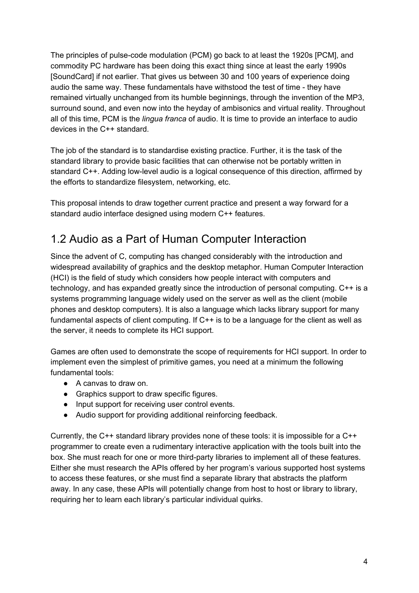The principles of pulse-code modulation (PCM) go back to at least the 1920s [PCM], and commodity PC hardware has been doing this exact thing since at least the early 1990s [SoundCard] if not earlier. That gives us between 30 and 100 years of experience doing audio the same way. These fundamentals have withstood the test of time - they have remained virtually unchanged from its humble beginnings, through the invention of the MP3, surround sound, and even now into the heyday of ambisonics and virtual reality. Throughout all of this time, PCM is the *lingua franca* of audio. It is time to provide an interface to audio devices in the C++ standard.

The job of the standard is to standardise existing practice. Further, it is the task of the standard library to provide basic facilities that can otherwise not be portably written in standard C++. Adding low-level audio is a logical consequence of this direction, affirmed by the efforts to standardize filesystem, networking, etc.

This proposal intends to draw together current practice and present a way forward for a standard audio interface designed using modern C++ features.

### <span id="page-3-0"></span>1.2 Audio as a Part of Human Computer Interaction

Since the advent of C, computing has changed considerably with the introduction and widespread availability of graphics and the desktop metaphor. Human Computer Interaction (HCI) is the field of study which considers how people interact with computers and technology, and has expanded greatly since the introduction of personal computing. C++ is a systems programming language widely used on the server as well as the client (mobile phones and desktop computers). It is also a language which lacks library support for many fundamental aspects of client computing. If C++ is to be a language for the client as well as the server, it needs to complete its HCI support.

Games are often used to demonstrate the scope of requirements for HCI support. In order to implement even the simplest of primitive games, you need at a minimum the following fundamental tools:

- A canvas to draw on.
- Graphics support to draw specific figures.
- Input support for receiving user control events.
- Audio support for providing additional reinforcing feedback.

Currently, the C++ standard library provides none of these tools: it is impossible for a C++ programmer to create even a rudimentary interactive application with the tools built into the box. She must reach for one or more third-party libraries to implement all of these features. Either she must research the APIs offered by her program's various supported host systems to access these features, or she must find a separate library that abstracts the platform away. In any case, these APIs will potentially change from host to host or library to library, requiring her to learn each library's particular individual quirks.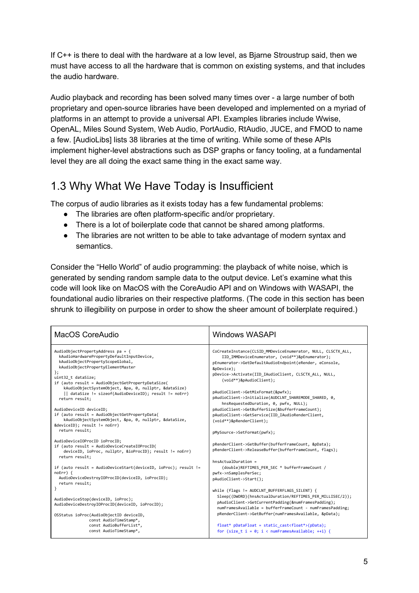If C++ is there to deal with the hardware at a low level, as Bjarne Stroustrup said, then we must have access to all the hardware that is common on existing systems, and that includes the audio hardware.

Audio playback and recording has been solved many times over - a large number of both proprietary and open-source libraries have been developed and implemented on a myriad of platforms in an attempt to provide a universal API. Examples libraries include Wwise, OpenAL, Miles Sound System, Web Audio, PortAudio, RtAudio, JUCE, and FMOD to name a few. [AudioLibs] lists 38 libraries at the time of writing. While some of these APIs implement higher-level abstractions such as DSP graphs or fancy tooling, at a fundamental level they are all doing the exact same thing in the exact same way.

#### <span id="page-4-0"></span>1.3 Why What We Have Today is Insufficient

The corpus of audio libraries as it exists today has a few fundamental problems:

- The libraries are often platform-specific and/or proprietary.
- There is a lot of boilerplate code that cannot be shared among platforms.
- The libraries are not written to be able to take advantage of modern syntax and semantics.

Consider the "Hello World" of audio programming: the playback of white noise, which is generated by sending random sample data to the output device. Let's examine what this code will look like on MacOS with the CoreAudio API and on Windows with WASAPI, the foundational audio libraries on their respective platforms. (The code in this section has been shrunk to illegibility on purpose in order to show the sheer amount of boilerplate required.)

| MacOS CoreAudio                                                                                                                                                                                                                                                                                                                                                                                                                                                                                                                             | <b>Windows WASAPI</b>                                                                                                                                                                                                                                                                                                                                                                                                                                                                                                                                   |
|---------------------------------------------------------------------------------------------------------------------------------------------------------------------------------------------------------------------------------------------------------------------------------------------------------------------------------------------------------------------------------------------------------------------------------------------------------------------------------------------------------------------------------------------|---------------------------------------------------------------------------------------------------------------------------------------------------------------------------------------------------------------------------------------------------------------------------------------------------------------------------------------------------------------------------------------------------------------------------------------------------------------------------------------------------------------------------------------------------------|
| AudioObjectPropertyAddress pa = {<br>kAudioHardwarePropertyDefaultInputDevice,<br>kAudioObjectPropertyScopeGlobal,<br>kAudioObjectPropertyElementMaster<br>};<br>uint32 t dataSize;<br>if (auto result = AudioObjectGetPropertyDataSize(<br>kAudioObjectSystemObject, &pa, 0, nullptr, &dataSize)<br>   dataSize != sizeof(AudioDeviceID);        result != noErr)<br>return result;<br>AudioDeviceID deviceID;<br>if (auto result = AudioObjectGetPropertyData(<br>kAudioObjectSystemObject, &pa, 0, nullptr, &dataSize,<br>return result; | CoCreateInstance(CLSID MMDeviceEnumerator, NULL, CLSCTX ALL,<br>IID IMMDeviceEnumerator, (void**)&pEnumerator);<br>pEnumerator->GetDefaultAudioEndpoint(eRender, eConsole,<br>&pDevice);<br>pDevice->Activate(IID IAudioClient, CLSCTX ALL, NULL,<br>(void**)&pAudioClient);<br>pAudioClient->GetMixFormat(&pwfx);<br>pAudioClient->Initialize(AUDCLNT SHAREMODE SHARED, 0,<br>hnsRequestedDuration, 0, pwfx, NULL);<br>pAudioClient->GetBufferSize(&bufferFrameCount);<br>pAudioClient->GetService(IID IAudioRenderClient,<br>(void**)&pRenderClient); |
| AudioDeviceIOProcID ioProcID;                                                                                                                                                                                                                                                                                                                                                                                                                                                                                                               | pMySource->SetFormat(pwfx);                                                                                                                                                                                                                                                                                                                                                                                                                                                                                                                             |
| if (auto result = AudioDeviceCreateIOProcID(                                                                                                                                                                                                                                                                                                                                                                                                                                                                                                | pRenderClient->GetBuffer(bufferFrameCount, &pData);                                                                                                                                                                                                                                                                                                                                                                                                                                                                                                     |
| deviceID, ioProc, nullptr, &ioProcID); result != noErr)                                                                                                                                                                                                                                                                                                                                                                                                                                                                                     | pRenderClient->ReleaseBuffer(bufferFrameCount, flags);                                                                                                                                                                                                                                                                                                                                                                                                                                                                                                  |
| return result;                                                                                                                                                                                                                                                                                                                                                                                                                                                                                                                              | $hnsActualDuration =$                                                                                                                                                                                                                                                                                                                                                                                                                                                                                                                                   |
| if (auto result = AudioDeviceStart(deviceID, ioProc); result !=                                                                                                                                                                                                                                                                                                                                                                                                                                                                             | (double)REFTIMES_PER_SEC * bufferFrameCount /                                                                                                                                                                                                                                                                                                                                                                                                                                                                                                           |
| $noErr)$ {                                                                                                                                                                                                                                                                                                                                                                                                                                                                                                                                  | pwfx->nSamplesPerSec;                                                                                                                                                                                                                                                                                                                                                                                                                                                                                                                                   |
| AudioDeviceDestroyIOProcID(deviceID, ioProcID);                                                                                                                                                                                                                                                                                                                                                                                                                                                                                             | pAudioClient->Start();                                                                                                                                                                                                                                                                                                                                                                                                                                                                                                                                  |
| return result;                                                                                                                                                                                                                                                                                                                                                                                                                                                                                                                              | while (flags != AUDCLNT BUFFERFLAGS SILENT) {                                                                                                                                                                                                                                                                                                                                                                                                                                                                                                           |
| AudioDeviceStop(deviceID, ioProc);                                                                                                                                                                                                                                                                                                                                                                                                                                                                                                          | Sleep((DWORD)(hnsActualDuration/REFTIMES PER MILLISEC/2));                                                                                                                                                                                                                                                                                                                                                                                                                                                                                              |
| AudioDeviceDestroyIOProcID(deviceID, ioProcID);                                                                                                                                                                                                                                                                                                                                                                                                                                                                                             | pAudioClient->GetCurrentPadding(&numFramesPadding);                                                                                                                                                                                                                                                                                                                                                                                                                                                                                                     |
| OSStatus ioProc(AudioObjectID deviceID,                                                                                                                                                                                                                                                                                                                                                                                                                                                                                                     | numFramesAvailable = bufferFrameCount - numFramesPadding;                                                                                                                                                                                                                                                                                                                                                                                                                                                                                               |
| const AudioTimeStamp*,                                                                                                                                                                                                                                                                                                                                                                                                                                                                                                                      | pRenderClient->GetBuffer(numFramesAvailable, &pData);                                                                                                                                                                                                                                                                                                                                                                                                                                                                                                   |
| const AudioBufferList*,                                                                                                                                                                                                                                                                                                                                                                                                                                                                                                                     | $float* pDataFloat = static\_cast(pData);$                                                                                                                                                                                                                                                                                                                                                                                                                                                                                                              |
| const AudioTimeStamp*,                                                                                                                                                                                                                                                                                                                                                                                                                                                                                                                      | for (size $t$ i = 0; i < numFramesAvailable; ++i) {                                                                                                                                                                                                                                                                                                                                                                                                                                                                                                     |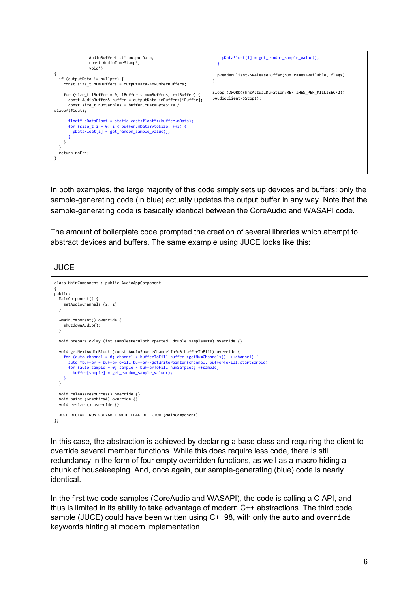

In both examples, the large majority of this code simply sets up devices and buffers: only the sample-generating code (in blue) actually updates the output buffer in any way. Note that the sample-generating code is basically identical between the CoreAudio and WASAPI code.

The amount of boilerplate code prompted the creation of several libraries which attempt to abstract devices and buffers. The same example using JUCE looks like this:

```
JUCE
class MainComponent : public AudioAppComponent
{
public:
  MainComponent() {
     setAudioChannels (2, 2);
   }
   ~MainComponent() override {
     shutdownAudio();
   }
   void prepareToPlay (int samplesPerBlockExpected, double sampleRate) override {}
   void getNextAudioBlock (const AudioSourceChannelInfo& bufferToFill) override {
for (auto channel = 0; channel < bufferToFill.buffer->getNumChannels(); ++channel) {<br>auto *buffer = bufferToFill.buffer->getWritePointer(channel, bufferToFill.startSample);<br>for (auto sample = 0; sample < bufferToFill.numSa
          buffer[sample] = get_random_sample_value();
     }
   }
   void releaseResources() override {}
   void paint (Graphics&) override {}
   void resized() override {}
   JUCE_DECLARE_NON_COPYABLE_WITH_LEAK_DETECTOR (MainComponent)
};
```
In this case, the abstraction is achieved by declaring a base class and requiring the client to override several member functions. While this does require less code, there is still redundancy in the form of four empty overridden functions, as well as a macro hiding a chunk of housekeeping. And, once again, our sample-generating (blue) code is nearly identical.

In the first two code samples (CoreAudio and WASAPI), the code is calling a C API, and thus is limited in its ability to take advantage of modern C++ abstractions. The third code sample (JUCE) could have been written using C++98, with only the auto and override keywords hinting at modern implementation.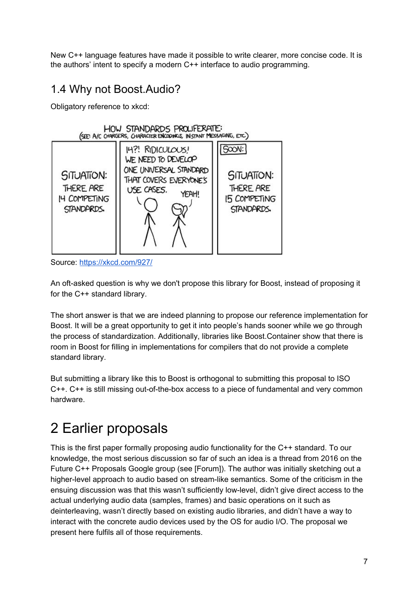New C++ language features have made it possible to write clearer, more concise code. It is the authors' intent to specify a modern C++ interface to audio programming.

#### <span id="page-6-0"></span>1.4 Why not Boost.Audio?

Obligatory reference to xkcd:



Source: <https://xkcd.com/927/>

An oft-asked question is why we don't propose this library for Boost, instead of proposing it for the C++ standard library.

The short answer is that we are indeed planning to propose our reference implementation for Boost. It will be a great opportunity to get it into people's hands sooner while we go through the process of standardization. Additionally, libraries like Boost.Container show that there is room in Boost for filling in implementations for compilers that do not provide a complete standard library.

But submitting a library like this to Boost is orthogonal to submitting this proposal to ISO C++. C++ is still missing out-of-the-box access to a piece of fundamental and very common hardware.

# <span id="page-6-1"></span>2 Earlier proposals

This is the first paper formally proposing audio functionality for the C++ standard. To our knowledge, the most serious discussion so far of such an idea is a thread from 2016 on the Future C++ Proposals Google group (see [Forum]). The author was initially sketching out a higher-level approach to audio based on stream-like semantics. Some of the criticism in the ensuing discussion was that this wasn't sufficiently low-level, didn't give direct access to the actual underlying audio data (samples, frames) and basic operations on it such as deinterleaving, wasn't directly based on existing audio libraries, and didn't have a way to interact with the concrete audio devices used by the OS for audio I/O. The proposal we present here fulfils all of those requirements.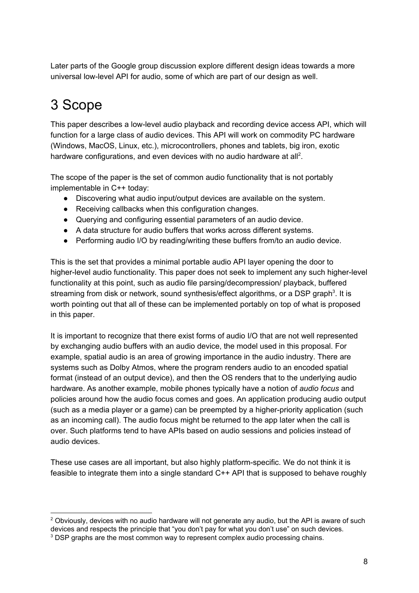Later parts of the Google group discussion explore different design ideas towards a more universal low-level API for audio, some of which are part of our design as well.

# <span id="page-7-0"></span>3 Scope

This paper describes a low-level audio playback and recording device access API, which will function for a large class of audio devices. This API will work on commodity PC hardware (Windows, MacOS, Linux, etc.), microcontrollers, phones and tablets, big iron, exotic hardware configurations, and even devices with no audio hardware at all<sup>2</sup>.

The scope of the paper is the set of common audio functionality that is not portably implementable in C++ today:

- Discovering what audio input/output devices are available on the system.
- Receiving callbacks when this configuration changes.
- Querying and configuring essential parameters of an audio device.
- A data structure for audio buffers that works across different systems.
- Performing audio I/O by reading/writing these buffers from/to an audio device.

This is the set that provides a minimal portable audio API layer opening the door to higher-level audio functionality. This paper does not seek to implement any such higher-level functionality at this point, such as audio file parsing/decompression/ playback, buffered streaming from disk or network, sound synthesis/effect algorithms, or a DSP graph<sup>3</sup>. It is worth pointing out that all of these can be implemented portably on top of what is proposed in this paper.

It is important to recognize that there exist forms of audio I/O that are not well represented by exchanging audio buffers with an audio device, the model used in this proposal. For example, spatial audio is an area of growing importance in the audio industry. There are systems such as Dolby Atmos, where the program renders audio to an encoded spatial format (instead of an output device), and then the OS renders that to the underlying audio hardware. As another example, mobile phones typically have a notion of *audio focus* and policies around how the audio focus comes and goes. An application producing audio output (such as a media player or a game) can be preempted by a higher-priority application (such as an incoming call). The audio focus might be returned to the app later when the call is over. Such platforms tend to have APIs based on audio sessions and policies instead of audio devices.

These use cases are all important, but also highly platform-specific. We do not think it is feasible to integrate them into a single standard C++ API that is supposed to behave roughly

 $2$  Obviously, devices with no audio hardware will not generate any audio, but the API is aware of such devices and respects the principle that "you don't pay for what you don't use" on such devices. <sup>3</sup> DSP graphs are the most common way to represent complex audio processing chains.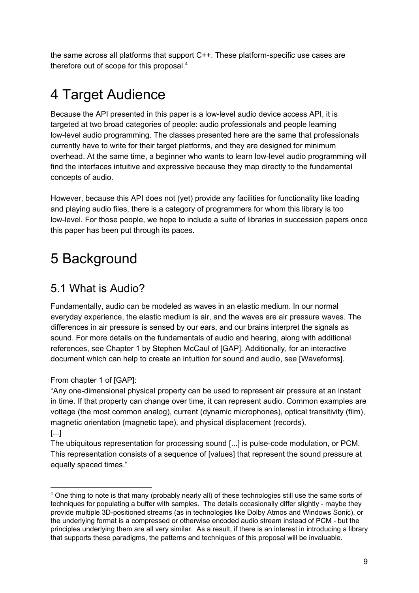the same across all platforms that support C++. These platform-specific use cases are therefore out of scope for this proposal. 4

# <span id="page-8-0"></span>4 Target Audience

Because the API presented in this paper is a low-level audio device access API, it is targeted at two broad categories of people: audio professionals and people learning low-level audio programming. The classes presented here are the same that professionals currently have to write for their target platforms, and they are designed for minimum overhead. At the same time, a beginner who wants to learn low-level audio programming will find the interfaces intuitive and expressive because they map directly to the fundamental concepts of audio.

However, because this API does not (yet) provide any facilities for functionality like loading and playing audio files, there is a category of programmers for whom this library is too low-level. For those people, we hope to include a suite of libraries in succession papers once this paper has been put through its paces.

## <span id="page-8-1"></span>5 Background

### <span id="page-8-2"></span>5.1 What is Audio?

Fundamentally, audio can be modeled as waves in an elastic medium. In our normal everyday experience, the elastic medium is air, and the waves are air pressure waves. The differences in air pressure is sensed by our ears, and our brains interpret the signals as sound. For more details on the fundamentals of audio and hearing, along with additional references, see Chapter 1 by Stephen McCaul of [GAP]. Additionally, for an interactive document which can help to create an intuition for sound and audio, see [Waveforms].

From chapter 1 of [GAP]:

"Any one-dimensional physical property can be used to represent air pressure at an instant in time. If that property can change over time, it can represent audio. Common examples are voltage (the most common analog), current (dynamic microphones), optical transitivity (film), magnetic orientation (magnetic tape), and physical displacement (records). [...]

The ubiquitous representation for processing sound [...] is pulse-code modulation, or PCM. This representation consists of a sequence of [values] that represent the sound pressure at equally spaced times."

<sup>4</sup> One thing to note is that many (probably nearly all) of these technologies still use the same sorts of techniques for populating a buffer with samples. The details occasionally differ slightly - maybe they provide multiple 3D-positioned streams (as in technologies like Dolby Atmos and Windows Sonic), or the underlying format is a compressed or otherwise encoded audio stream instead of PCM - but the principles underlying them are all very similar. As a result, if there is an interest in introducing a library that supports these paradigms, the patterns and techniques of this proposal will be invaluable.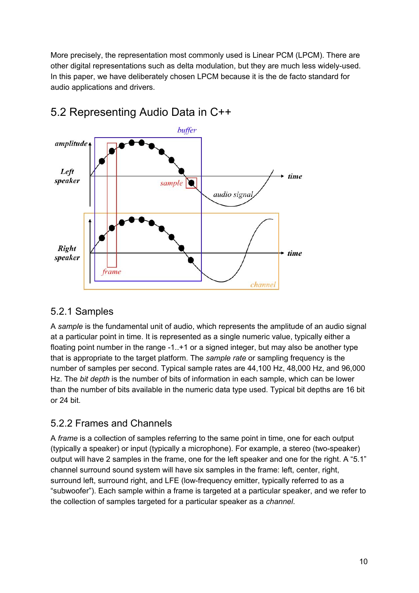More precisely, the representation most commonly used is Linear PCM (LPCM). There are other digital representations such as delta modulation, but they are much less widely-used. In this paper, we have deliberately chosen LPCM because it is the de facto standard for audio applications and drivers.



### <span id="page-9-0"></span>5.2 Representing Audio Data in C++

#### <span id="page-9-1"></span>5.2.1 Samples

A *sample* is the fundamental unit of audio, which represents the amplitude of an audio signal at a particular point in time. It is represented as a single numeric value, typically either a floating point number in the range -1..+1 or a signed integer, but may also be another type that is appropriate to the target platform. The *sample rate* or sampling frequency is the number of samples per second. Typical sample rates are 44,100 Hz, 48,000 Hz, and 96,000 Hz. The *bit depth* is the number of bits of information in each sample, which can be lower than the number of bits available in the numeric data type used. Typical bit depths are 16 bit or 24 bit.

#### <span id="page-9-2"></span>5.2.2 Frames and Channels

A *frame* is a collection of samples referring to the same point in time, one for each output (typically a speaker) or input (typically a microphone). For example, a stereo (two-speaker) output will have 2 samples in the frame, one for the left speaker and one for the right. A "5.1" channel surround sound system will have six samples in the frame: left, center, right, surround left, surround right, and LFE (low-frequency emitter, typically referred to as a "subwoofer"). Each sample within a frame is targeted at a particular speaker, and we refer to the collection of samples targeted for a particular speaker as a *channel*.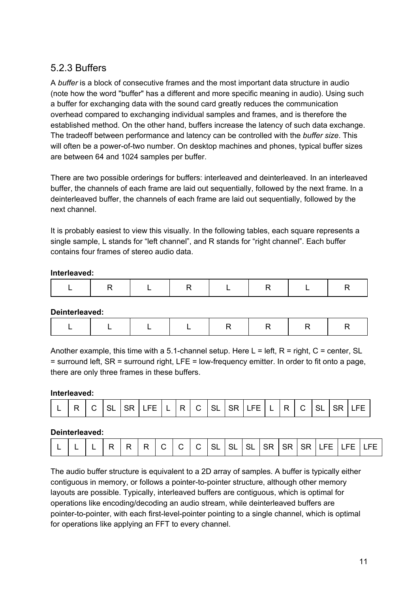#### <span id="page-10-0"></span>5.2.3 Buffers

A *buffer* is a block of consecutive frames and the most important data structure in audio (note how the word "buffer" has a different and more specific meaning in audio). Using such a buffer for exchanging data with the sound card greatly reduces the communication overhead compared to exchanging individual samples and frames, and is therefore the established method. On the other hand, buffers increase the latency of such data exchange. The tradeoff between performance and latency can be controlled with the *buffer size*. This will often be a power-of-two number. On desktop machines and phones, typical buffer sizes are between 64 and 1024 samples per buffer.

There are two possible orderings for buffers: interleaved and deinterleaved. In an interleaved buffer, the channels of each frame are laid out sequentially, followed by the next frame. In a deinterleaved buffer, the channels of each frame are laid out sequentially, followed by the next channel.

It is probably easiest to view this visually. In the following tables, each square represents a single sample, L stands for "left channel", and R stands for "right channel". Each buffer contains four frames of stereo audio data.

#### **Interleaved:**

|--|--|--|--|--|--|--|

**Deinterleaved:**

|--|--|--|--|--|--|

Another example, this time with a 5.1-channel setup. Here L = left,  $R =$  right,  $C =$  center, SL = surround left, SR = surround right, LFE = low-frequency emitter. In order to fit onto a page, there are only three frames in these buffers.

#### **Interleaved:**

|  | -<br>ப |  |  |  | $- -$<br>⊢⊢ |  |  |  |  | ₩. | <b>FF</b> |  | $\overline{\phantom{a}}$<br>◡ |  |  |  | --- |
|--|--------|--|--|--|-------------|--|--|--|--|----|-----------|--|-------------------------------|--|--|--|-----|
|--|--------|--|--|--|-------------|--|--|--|--|----|-----------|--|-------------------------------|--|--|--|-----|

#### **Deinterleaved:**

| - |  |  | P |  | -<br>$\sim$ |  |  | $\overline{\phantom{0}}$ | <b>SL</b> | SI | SI | <b>SR</b> | 5R |  | -- | $ -$<br>--- | $- -$ |
|---|--|--|---|--|-------------|--|--|--------------------------|-----------|----|----|-----------|----|--|----|-------------|-------|
|---|--|--|---|--|-------------|--|--|--------------------------|-----------|----|----|-----------|----|--|----|-------------|-------|

The audio buffer structure is equivalent to a 2D array of samples. A buffer is typically either contiguous in memory, or follows a pointer-to-pointer structure, although other memory layouts are possible. Typically, interleaved buffers are contiguous, which is optimal for operations like encoding/decoding an audio stream, while deinterleaved buffers are pointer-to-pointer, with each first-level-pointer pointing to a single channel, which is optimal for operations like applying an FFT to every channel.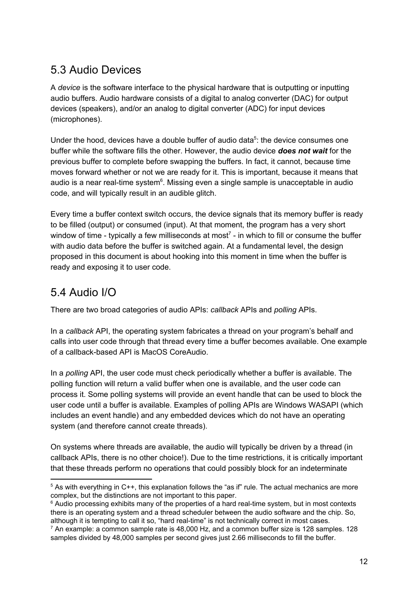#### <span id="page-11-0"></span>5.3 Audio Devices

A *device* is the software interface to the physical hardware that is outputting or inputting audio buffers. Audio hardware consists of a digital to analog converter (DAC) for output devices (speakers), and/or an analog to digital converter (ADC) for input devices (microphones).

Under the hood, devices have a double buffer of audio data $5$ : the device consumes one buffer while the software fills the other. However, the audio device *does not wait* for the previous buffer to complete before swapping the buffers. In fact, it cannot, because time moves forward whether or not we are ready for it. This is important, because it means that audio is a near real-time system $6$ . Missing even a single sample is unacceptable in audio code, and will typically result in an audible glitch.

Every time a buffer context switch occurs, the device signals that its memory buffer is ready to be filled (output) or consumed (input). At that moment, the program has a very short window of time - typically a few milliseconds at most<sup>7</sup> - in which to fill or consume the buffer with audio data before the buffer is switched again. At a fundamental level, the design proposed in this document is about hooking into this moment in time when the buffer is ready and exposing it to user code.

#### <span id="page-11-1"></span>5.4 Audio I/O

There are two broad categories of audio APIs: *callback* APIs and *polling* APIs.

In a *callback* API, the operating system fabricates a thread on your program's behalf and calls into user code through that thread every time a buffer becomes available. One example of a callback-based API is MacOS CoreAudio.

In a *polling* API, the user code must check periodically whether a buffer is available. The polling function will return a valid buffer when one is available, and the user code can process it. Some polling systems will provide an event handle that can be used to block the user code until a buffer is available. Examples of polling APIs are Windows WASAPI (which includes an event handle) and any embedded devices which do not have an operating system (and therefore cannot create threads).

On systems where threads are available, the audio will typically be driven by a thread (in callback APIs, there is no other choice!). Due to the time restrictions, it is critically important that these threads perform no operations that could possibly block for an indeterminate

 $5$  As with everything in C++, this explanation follows the "as if" rule. The actual mechanics are more complex, but the distinctions are not important to this paper.

 $6$  Audio processing exhibits many of the properties of a hard real-time system, but in most contexts there is an operating system and a thread scheduler between the audio software and the chip. So, although it is tempting to call it so, "hard real-time" is not technically correct in most cases.

 $7$  An example: a common sample rate is 48,000 Hz, and a common buffer size is 128 samples. 128 samples divided by 48,000 samples per second gives just 2.66 milliseconds to fill the buffer.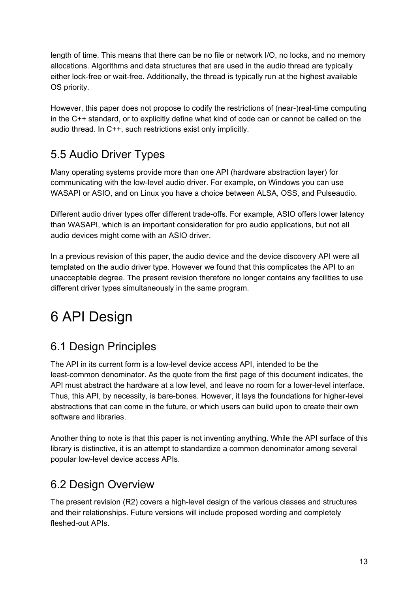length of time. This means that there can be no file or network I/O, no locks, and no memory allocations. Algorithms and data structures that are used in the audio thread are typically either lock-free or wait-free. Additionally, the thread is typically run at the highest available OS priority.

However, this paper does not propose to codify the restrictions of (near-)real-time computing in the C++ standard, or to explicitly define what kind of code can or cannot be called on the audio thread. In C++, such restrictions exist only implicitly.

### <span id="page-12-0"></span>5.5 Audio Driver Types

Many operating systems provide more than one API (hardware abstraction layer) for communicating with the low-level audio driver. For example, on Windows you can use WASAPI or ASIO, and on Linux you have a choice between ALSA, OSS, and Pulseaudio.

Different audio driver types offer different trade-offs. For example, ASIO offers lower latency than WASAPI, which is an important consideration for pro audio applications, but not all audio devices might come with an ASIO driver.

In a previous revision of this paper, the audio device and the device discovery API were all templated on the audio driver type. However we found that this complicates the API to an unacceptable degree. The present revision therefore no longer contains any facilities to use different driver types simultaneously in the same program.

# <span id="page-12-1"></span>6 API Design

### <span id="page-12-2"></span>6.1 Design Principles

The API in its current form is a low-level device access API, intended to be the least-common denominator. As the quote from the first page of this document indicates, the API must abstract the hardware at a low level, and leave no room for a lower-level interface. Thus, this API, by necessity, is bare-bones. However, it lays the foundations for higher-level abstractions that can come in the future, or which users can build upon to create their own software and libraries.

Another thing to note is that this paper is not inventing anything. While the API surface of this library is distinctive, it is an attempt to standardize a common denominator among several popular low-level device access APIs.

#### <span id="page-12-3"></span>6.2 Design Overview

The present revision (R2) covers a high-level design of the various classes and structures and their relationships. Future versions will include proposed wording and completely fleshed-out APIs.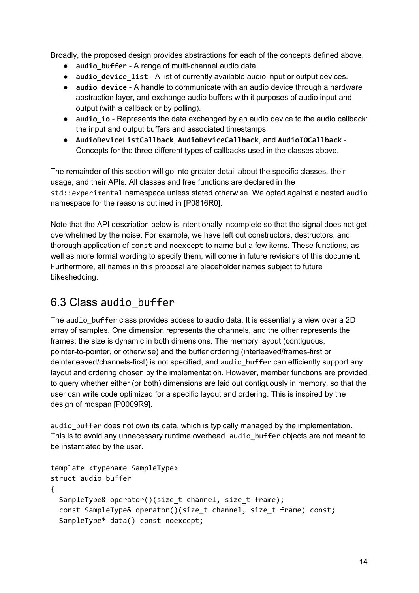Broadly, the proposed design provides abstractions for each of the concepts defined above.

- **audio\_buffer** A range of multi-channel audio data.
- **audio device list** A list of currently available audio input or output devices.
- **audio** device A handle to communicate with an audio device through a hardware abstraction layer, and exchange audio buffers with it purposes of audio input and output (with a callback or by polling).
- **audio io** Represents the data exchanged by an audio device to the audio callback: the input and output buffers and associated timestamps.
- **AudioDeviceListCallback**, **AudioDeviceCallback**, and **AudioIOCallback** Concepts for the three different types of callbacks used in the classes above.

The remainder of this section will go into greater detail about the specific classes, their usage, and their APIs. All classes and free functions are declared in the std::experimental namespace unless stated otherwise. We opted against a nested audio namespace for the reasons outlined in [P0816R0].

Note that the API description below is intentionally incomplete so that the signal does not get overwhelmed by the noise. For example, we have left out constructors, destructors, and thorough application of const and noexcept to name but a few items. These functions, as well as more formal wording to specify them, will come in future revisions of this document. Furthermore, all names in this proposal are placeholder names subject to future bikeshedding.

### <span id="page-13-0"></span>6.3 Class audio\_buffer

The audio buffer class provides access to audio data. It is essentially a view over a 2D array of samples. One dimension represents the channels, and the other represents the frames; the size is dynamic in both dimensions. The memory layout (contiguous, pointer-to-pointer, or otherwise) and the buffer ordering (interleaved/frames-first or deinterleaved/channels-first) is not specified, and audio\_buffer can efficiently support any layout and ordering chosen by the implementation. However, member functions are provided to query whether either (or both) dimensions are laid out contiguously in memory, so that the user can write code optimized for a specific layout and ordering. This is inspired by the design of mdspan [P0009R9].

audio buffer does not own its data, which is typically managed by the implementation. This is to avoid any unnecessary runtime overhead. audio buffer objects are not meant to be instantiated by the user.

```
template <typename SampleType>
struct audio_buffer
{
  SampleType& operator()(size_t channel, size_t frame);
  const SampleType& operator()(size_t channel, size_t frame) const;
  SampleType* data() const noexcept;
```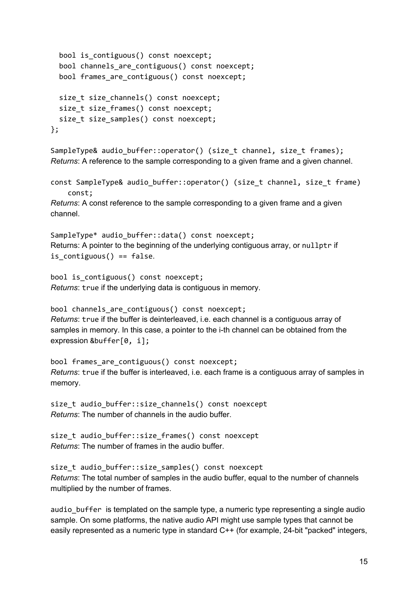```
bool is_contiguous() const noexcept;
  bool channels_are_contiguous() const noexcept;
  bool frames_are_contiguous() const noexcept;
  size_t size_channels() const noexcept;
  size_t size_frames() const noexcept;
  size_t size_samples() const noexcept;
};
```

```
SampleType& audio_buffer::operator() (size_t channel, size_t frames);
Returns: A reference to the sample corresponding to a given frame and a given channel.
```

```
const SampleType& audio_buffer::operator() (size_t channel, size_t frame)
    const;
```
*Returns*: A const reference to the sample corresponding to a given frame and a given channel.

```
SampleType* audio buffer::data() const noexcept;
Returns: A pointer to the beginning of the underlying contiguous array, or nullptr if
is contiguous() == false.
```

```
bool is contiguous() const noexcept;
Returns: true if the underlying data is contiguous in memory.
```

```
bool channels are contiguous() const noexcept;
Returns: true if the buffer is deinterleaved, i.e. each channel is a contiguous array of
samples in memory. In this case, a pointer to the i-th channel can be obtained from the
expression &buffer[0, i];
```

```
bool frames_are_contiguous() const noexcept;
Returns: true if the buffer is interleaved, i.e. each frame is a contiguous array of samples in
memory.
```

```
size t audio buffer::size channels() const noexcept
Returns: The number of channels in the audio buffer.
```

```
size_t audio_buffer::size_frames() const noexcept
Returns: The number of frames in the audio buffer.
```

```
size_t audio_buffer::size_samples() const noexcept
Returns: The total number of samples in the audio buffer, equal to the number of channels
multiplied by the number of frames.
```

```
audio_buffer is templated on the sample type, a numeric type representing a single audio
sample. On some platforms, the native audio API might use sample types that cannot be
easily represented as a numeric type in standard C++ (for example, 24-bit "packed" integers,
```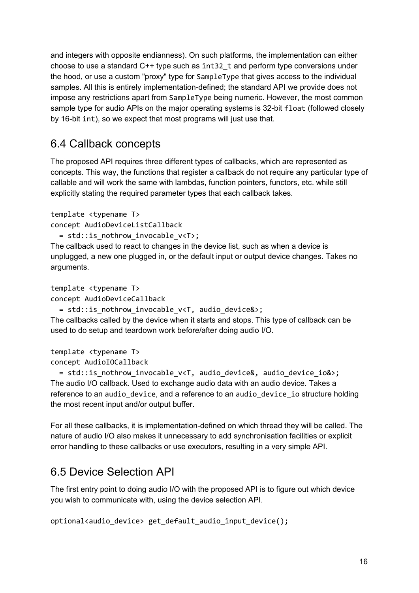and integers with opposite endianness). On such platforms, the implementation can either choose to use a standard C++ type such as int32\_t and perform type conversions under the hood, or use a custom "proxy" type for SampleType that gives access to the individual samples. All this is entirely implementation-defined; the standard API we provide does not impose any restrictions apart from SampleType being numeric. However, the most common sample type for audio APIs on the major operating systems is 32-bit float (followed closely by 16-bit int), so we expect that most programs will just use that.

#### <span id="page-15-0"></span>6.4 Callback concepts

The proposed API requires three different types of callbacks, which are represented as concepts. This way, the functions that register a callback do not require any particular type of callable and will work the same with lambdas, function pointers, functors, etc. while still explicitly stating the required parameter types that each callback takes.

```
template <typename T>
concept AudioDeviceListCallback
```

```
= std::is nothrow invocable v<T>;
```
The callback used to react to changes in the device list, such as when a device is unplugged, a new one plugged in, or the default input or output device changes. Takes no arguments.

```
template <typename T>
```
concept AudioDeviceCallback

= std::is nothrow invocable v<T, audio device&>;

The callbacks called by the device when it starts and stops. This type of callback can be used to do setup and teardown work before/after doing audio I/O.

```
template <typename T>
concept AudioIOCallback
```
= std::is\_nothrow\_invocable\_v<T, audio\_device&, audio\_device\_io&>; The audio I/O callback. Used to exchange audio data with an audio device. Takes a reference to an audio\_device, and a reference to an audio\_device\_io structure holding the most recent input and/or output buffer.

For all these callbacks, it is implementation-defined on which thread they will be called. The nature of audio I/O also makes it unnecessary to add synchronisation facilities or explicit error handling to these callbacks or use executors, resulting in a very simple API.

#### <span id="page-15-1"></span>6.5 Device Selection API

The first entry point to doing audio I/O with the proposed API is to figure out which device you wish to communicate with, using the device selection API.

```
optional<audio_device> get_default_audio_input_device();
```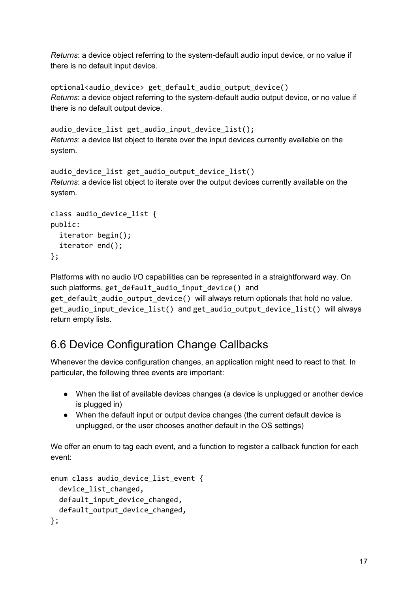*Returns*: a device object referring to the system-default audio input device, or no value if there is no default input device.

```
optional<audio_device> get_default_audio_output_device()
Returns: a device object referring to the system-default audio output device, or no value if
there is no default output device.
```
audio device list get audio input device list(); *Returns*: a device list object to iterate over the input devices currently available on the system.

```
audio device list get audio output device list()
Returns: a device list object to iterate over the output devices currently available on the
system.
```

```
class audio device list {
public:
  iterator begin();
  iterator end();
};
```
Platforms with no audio I/O capabilities can be represented in a straightforward way. On such platforms, get default audio input device() and get\_default\_audio\_output\_device() will always return optionals that hold no value. get audio input device list() and get audio output device list() will always return empty lists.

#### <span id="page-16-0"></span>6.6 Device Configuration Change Callbacks

Whenever the device configuration changes, an application might need to react to that. In particular, the following three events are important:

- When the list of available devices changes (a device is unplugged or another device is plugged in)
- When the default input or output device changes (the current default device is unplugged, or the user chooses another default in the OS settings)

We offer an enum to tag each event, and a function to register a callback function for each event:

```
enum class audio_device_list_event {
  device list changed,
  default_input_device_changed,
 default_output_device_changed,
};
```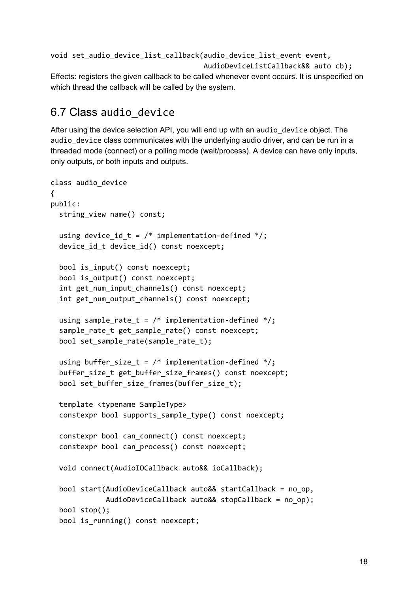```
void set_audio_device_list_callback(audio_device_list_event event,
                                        AudioDeviceListCallback&& auto cb);
Effects: registers the given callback to be called whenever event occurs. It is unspecified on
```
which thread the callback will be called by the system.

#### <span id="page-17-0"></span>6.7 Class audio\_device

After using the device selection API, you will end up with an audio\_device object. The audio device class communicates with the underlying audio driver, and can be run in a threaded mode (connect) or a polling mode (wait/process). A device can have only inputs, only outputs, or both inputs and outputs.

```
class audio_device
{
public:
  string_view name() const;
  using device id t = /* implementation-defined */;device id t device id() const noexcept;
  bool is_input() const noexcept;
  bool is output() const noexcept;
  int get num input channels() const noexcept;
  int get_num_output_channels() const noexcept;
  using sample_rate_t = /* implementation-defined */;sample_rate_t get_sample_rate() const noexcept;
  bool set_sample_rate(sample_rate_t);
  using buffer_size_t = /* implementation-defined */;buffer size t get buffer size frames() const noexcept;
  bool set_buffer_size_frames(buffer_size_t);
  template <typename SampleType>
  constexpr bool supports_sample_type() const noexcept;
  constexpr bool can_connect() const noexcept;
  constexpr bool can_process() const noexcept;
  void connect(AudioIOCallback auto&& ioCallback);
  bool start(AudioDeviceCallback auto&& startCallback = no_op,
             AudioDeviceCallback auto&& stopCallback = no_op);
  bool stop();
  bool is_running() const noexcept;
```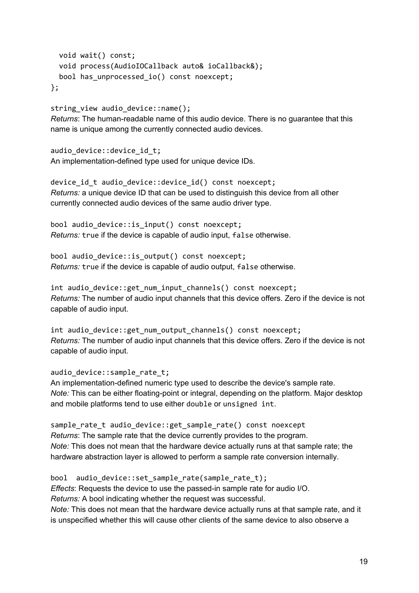```
void wait() const;
  void process(AudioIOCallback auto& ioCallback&);
  bool has unprocessed io() const noexcept;
};
```
string\_view audio\_device::name();

*Returns*: The human-readable name of this audio device. There is no guarantee that this name is unique among the currently connected audio devices.

audio\_device::device\_id\_t; An implementation-defined type used for unique device IDs.

device\_id\_t audio\_device::device\_id() const noexcept; *Returns:* a unique device ID that can be used to distinguish this device from all other currently connected audio devices of the same audio driver type.

bool audio device:: is input() const noexcept; *Returns:* true if the device is capable of audio input, false otherwise.

bool audio device:: is output() const noexcept; *Returns:* true if the device is capable of audio output, false otherwise.

int audio device::get num input channels() const noexcept; *Returns:* The number of audio input channels that this device offers. Zero if the device is not capable of audio input.

int audio\_device::get\_num\_output\_channels() const noexcept; *Returns:* The number of audio input channels that this device offers. Zero if the device is not capable of audio input.

audio device::sample rate t;

An implementation-defined numeric type used to describe the device's sample rate. *Note:* This can be either floating-point or integral, depending on the platform. Major desktop and mobile platforms tend to use either double or unsigned int.

sample\_rate\_t audio\_device::get\_sample\_rate() const noexcept *Returns*: The sample rate that the device currently provides to the program. *Note:* This does not mean that the hardware device actually runs at that sample rate; the hardware abstraction layer is allowed to perform a sample rate conversion internally.

bool audio\_device::set\_sample\_rate(sample\_rate\_t); *Effects*: Requests the device to use the passed-in sample rate for audio I/O. *Returns:* A bool indicating whether the request was successful. *Note:* This does not mean that the hardware device actually runs at that sample rate, and it is unspecified whether this will cause other clients of the same device to also observe a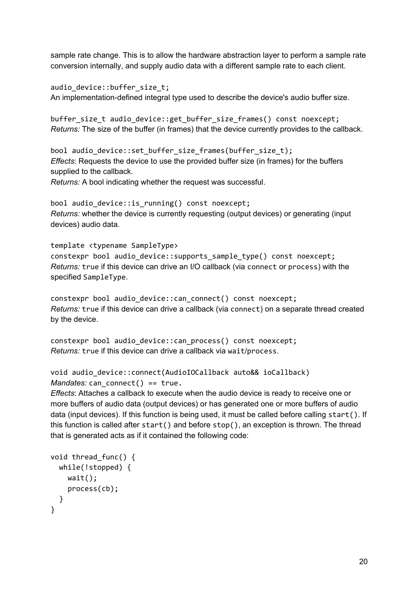sample rate change. This is to allow the hardware abstraction layer to perform a sample rate conversion internally, and supply audio data with a different sample rate to each client.

audio\_device::buffer\_size\_t; An implementation-defined integral type used to describe the device's audio buffer size.

buffer\_size\_t audio\_device::get\_buffer\_size\_frames() const noexcept; *Returns:* The size of the buffer (in frames) that the device currently provides to the callback.

bool audio\_device::set\_buffer\_size\_frames(buffer\_size\_t); *Effects*: Requests the device to use the provided buffer size (in frames) for the buffers supplied to the callback.

*Returns:* A bool indicating whether the request was successful.

bool audio device:: is running() const noexcept; *Returns:* whether the device is currently requesting (output devices) or generating (input devices) audio data.

template <typename SampleType> constexpr bool audio device::supports sample type() const noexcept; *Returns:* true if this device can drive an I/O callback (via connect or process) with the specified SampleType.

constexpr bool audio device::can connect() const noexcept; *Returns:* true if this device can drive a callback (via connect) on a separate thread created by the device.

```
constexpr bool audio_device::can_process() const noexcept;
Returns: true if this device can drive a callback via wait/process.
```

```
void audio_device::connect(AudioIOCallback auto&& ioCallback)
Mandates: can connect() == true.
```
*Effects*: Attaches a callback to execute when the audio device is ready to receive one or more buffers of audio data (output devices) or has generated one or more buffers of audio data (input devices). If this function is being used, it must be called before calling start(). If this function is called after start() and before stop(), an exception is thrown. The thread that is generated acts as if it contained the following code:

```
void thread_func() {
  while(!stopped) {
    wait();
   process(cb);
 }
}
```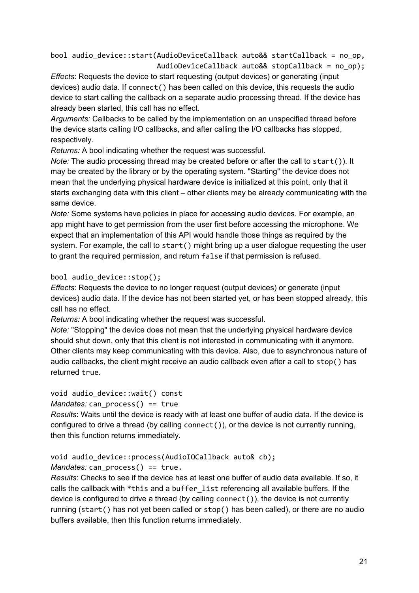bool audio\_device::start(AudioDeviceCallback auto&& startCallback = no\_op, AudioDeviceCallback auto&& stopCallback = no\_op);

*Effects*: Requests the device to start requesting (output devices) or generating (input devices) audio data. If connect() has been called on this device, this requests the audio device to start calling the callback on a separate audio processing thread. If the device has already been started, this call has no effect.

*Arguments:* Callbacks to be called by the implementation on an unspecified thread before the device starts calling I/O callbacks, and after calling the I/O callbacks has stopped, respectively.

*Returns:* A bool indicating whether the request was successful.

*Note:* The audio processing thread may be created before or after the call to start()). It may be created by the library or by the operating system. "Starting" the device does not mean that the underlying physical hardware device is initialized at this point, only that it starts exchanging data with this client – other clients may be already communicating with the same device.

*Note:* Some systems have policies in place for accessing audio devices. For example, an app might have to get permission from the user first before accessing the microphone. We expect that an implementation of this API would handle those things as required by the system. For example, the call to start() might bring up a user dialogue requesting the user to grant the required permission, and return false if that permission is refused.

#### bool audio\_device::stop();

*Effects*: Requests the device to no longer request (output devices) or generate (input devices) audio data. If the device has not been started yet, or has been stopped already, this call has no effect.

*Returns:* A bool indicating whether the request was successful.

*Note:* "Stopping" the device does not mean that the underlying physical hardware device should shut down, only that this client is not interested in communicating with it anymore. Other clients may keep communicating with this device. Also, due to asynchronous nature of audio callbacks, the client might receive an audio callback even after a call to stop() has returned true.

#### void audio\_device::wait() const

#### *Mandates:* can process() == true

*Results*: Waits until the device is ready with at least one buffer of audio data. If the device is configured to drive a thread (by calling connect()), or the device is not currently running, then this function returns immediately.

#### void audio\_device::process(AudioIOCallback auto& cb);

#### *Mandates:* can process() == true.

*Results*: Checks to see if the device has at least one buffer of audio data available. If so, it calls the callback with \*this and a buffer list referencing all available buffers. If the device is configured to drive a thread (by calling connect()), the device is not currently running (start() has not yet been called or stop() has been called), or there are no audio buffers available, then this function returns immediately.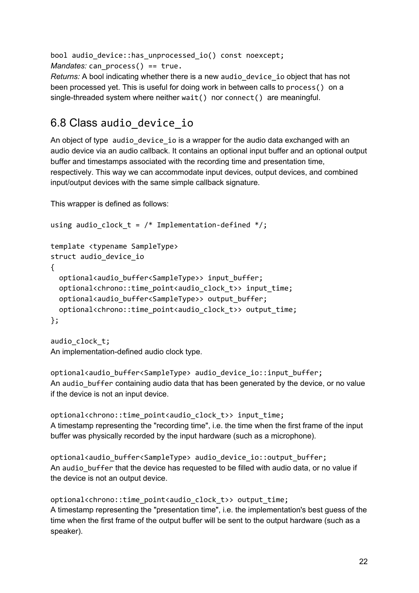bool audio\_device::has\_unprocessed\_io() const noexcept; *Mandates:* can\_process() == true.

*Returns:* A bool indicating whether there is a new audio\_device\_io object that has not been processed yet. This is useful for doing work in between calls to process() on a single-threaded system where neither wait() nor connect() are meaningful.

### <span id="page-21-0"></span>6.8 Class audio\_device\_io

An object of type audio\_device\_io is a wrapper for the audio data exchanged with an audio device via an audio callback. It contains an optional input buffer and an optional output buffer and timestamps associated with the recording time and presentation time, respectively. This way we can accommodate input devices, output devices, and combined input/output devices with the same simple callback signature.

This wrapper is defined as follows:

```
using audio_clock_t = /* Implementation-defined */;
template <typename SampleType>
struct audio device io
{
  optional<audio_buffer<SampleType>>_input_buffer;
  optional<chrono::time_point<audio_clock_t>>_input_time;
  optional<audio_buffer<SampleType>> output_buffer;
  optional<chrono::time_point<audio_clock_t>> output_time;
};
```

```
audio clock t;
An implementation-defined audio clock type.
```
optional<audio buffer<SampleType> audio device io::input buffer; An audio\_buffer containing audio data that has been generated by the device, or no value if the device is not an input device.

optional<chrono::time\_point<audio\_clock\_t>> input\_time; A timestamp representing the "recording time", i.e. the time when the first frame of the input buffer was physically recorded by the input hardware (such as a microphone).

optional<audio\_buffer<SampleType> audio\_device\_io::output\_buffer; An audio\_buffer that the device has requested to be filled with audio data, or no value if the device is not an output device.

```
optional<chrono::time_point<audio_clock_t>> output_time;
A timestamp representing the "presentation time", i.e. the implementation's best guess of the
time when the first frame of the output buffer will be sent to the output hardware (such as a
speaker).
```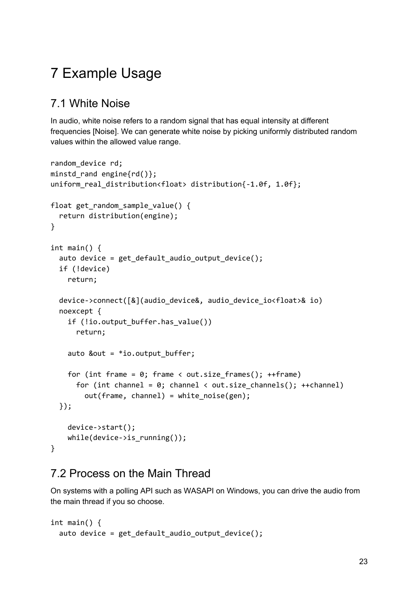# <span id="page-22-0"></span>7 Example Usage

### <span id="page-22-1"></span>7.1 White Noise

In audio, white noise refers to a random signal that has equal intensity at different frequencies [Noise]. We can generate white noise by picking uniformly distributed random values within the allowed value range.

```
random device rd;
minstd rand engine{rd()};
uniform real distribution<float> distribution{-1.0f, 1.0f};
float get random sample value() {
  return distribution(engine);
}
int main() {
  auto device = get default audio output device();
  if (!device)
    return;
  device->connect([&](audio_device&, audio_device_io<float>& io)
  noexcept {
    if (!io.output_buffer.has_value())
      return;
    auto &out = *io.output_buffer;for (int frame = 0; frame < out.size_frames(); ++frame)
      for (int channel = 0; channel < out.size_channels(); ++channel)
        out(frame, channel) = white_noise(gen);
  });
    device->start();
    while(device->is_running());
}
```
#### <span id="page-22-2"></span>7.2 Process on the Main Thread

On systems with a polling API such as WASAPI on Windows, you can drive the audio from the main thread if you so choose.

```
int main() {
  auto device = get_default_audio_output_device();
```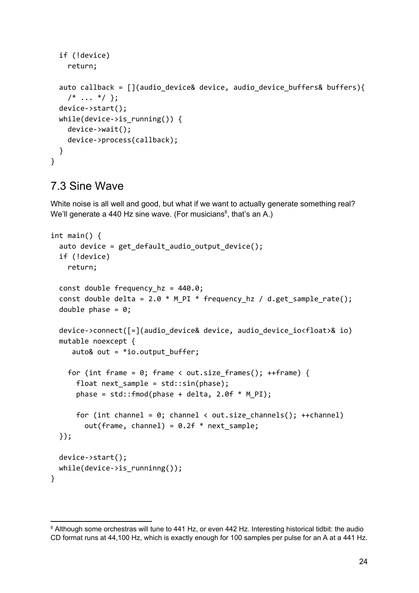```
if (!device)
    return;
  auto callback = [](audio_device& device, audio_device_buffers& buffers){
    /* \ldots * / };
  device->start();
  while(device->is_running()) {
    device->wait();
    device->process(callback);
 }
}
```
#### <span id="page-23-0"></span>7.3 Sine Wave

White noise is all well and good, but what if we want to actually generate something real? We'll generate a 440 Hz sine wave. (For musicians<sup>8</sup>, that's an A.)

```
int main() {
  auto device = get default audio output device();
  if (!device)
    return;
  const double frequency hz = 440.0;const double delta = 2.0 * M PI * frequency hz / d.get sample rate();
  double phase = 0;
  device->connect([=](audio_device& device, audio_device_io<float>& io)
  mutable noexcept {
     auto\& out = *io.output_buffer;
    for (int frame = 0; frame < out.size_frames(); ++frame) {
      float next_sample = std::sin(phase);
      phase = std::fmod(phase + delta, 2.0f * M_P I);
      for (int channel = 0; channel < out.size_channels(); ++channel)
        out(frame, channel) = 0.2f * next_sample;
  });
 device->start();
  while(device->is_runninng());
}
```
<sup>&</sup>lt;sup>8</sup> Although some orchestras will tune to 441 Hz, or even 442 Hz. Interesting historical tidbit: the audio CD format runs at 44,100 Hz, which is exactly enough for 100 samples per pulse for an A at a 441 Hz.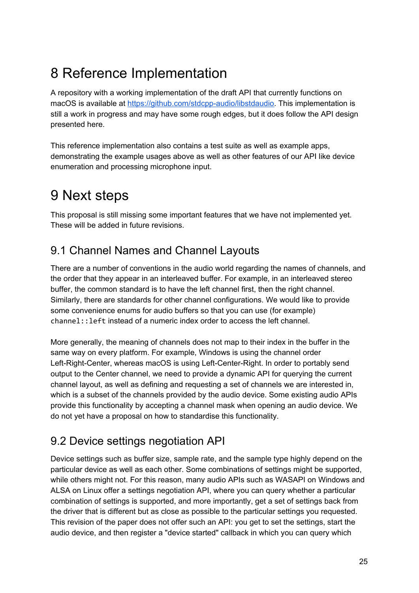## <span id="page-24-0"></span>8 Reference Implementation

A repository with a working implementation of the draft API that currently functions on macOS is available at <https://github.com/stdcpp-audio/libstdaudio>. This implementation is still a work in progress and may have some rough edges, but it does follow the API design presented here.

This reference implementation also contains a test suite as well as example apps, demonstrating the example usages above as well as other features of our API like device enumeration and processing microphone input.

# <span id="page-24-1"></span>9 Next steps

This proposal is still missing some important features that we have not implemented yet. These will be added in future revisions.

### <span id="page-24-2"></span>9.1 Channel Names and Channel Layouts

There are a number of conventions in the audio world regarding the names of channels, and the order that they appear in an interleaved buffer. For example, in an interleaved stereo buffer, the common standard is to have the left channel first, then the right channel. Similarly, there are standards for other channel configurations. We would like to provide some convenience enums for audio buffers so that you can use (for example) channel::left instead of a numeric index order to access the left channel.

More generally, the meaning of channels does not map to their index in the buffer in the same way on every platform. For example, Windows is using the channel order Left-Right-Center, whereas macOS is using Left-Center-Right. In order to portably send output to the Center channel, we need to provide a dynamic API for querying the current channel layout, as well as defining and requesting a set of channels we are interested in, which is a subset of the channels provided by the audio device. Some existing audio APIs provide this functionality by accepting a channel mask when opening an audio device. We do not yet have a proposal on how to standardise this functionality.

### <span id="page-24-3"></span>9.2 Device settings negotiation API

Device settings such as buffer size, sample rate, and the sample type highly depend on the particular device as well as each other. Some combinations of settings might be supported, while others might not. For this reason, many audio APIs such as WASAPI on Windows and ALSA on Linux offer a settings negotiation API, where you can query whether a particular combination of settings is supported, and more importantly, get a set of settings back from the driver that is different but as close as possible to the particular settings you requested. This revision of the paper does not offer such an API: you get to set the settings, start the audio device, and then register a "device started" callback in which you can query which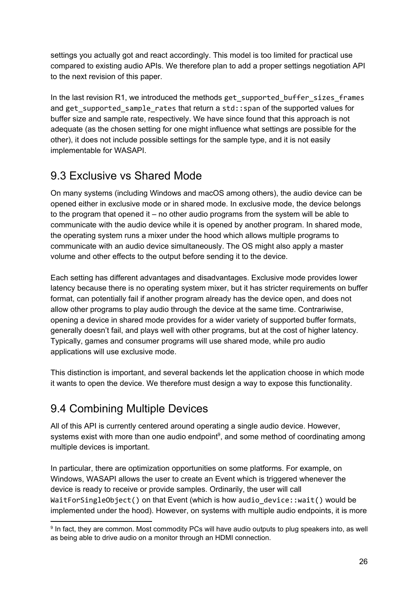settings you actually got and react accordingly. This model is too limited for practical use compared to existing audio APIs. We therefore plan to add a proper settings negotiation API to the next revision of this paper.

In the last revision R1, we introduced the methods get\_supported\_buffer\_sizes\_frames and get supported sample rates that return a std:: span of the supported values for buffer size and sample rate, respectively. We have since found that this approach is not adequate (as the chosen setting for one might influence what settings are possible for the other), it does not include possible settings for the sample type, and it is not easily implementable for WASAPI.

#### <span id="page-25-0"></span>9.3 Exclusive vs Shared Mode

On many systems (including Windows and macOS among others), the audio device can be opened either in exclusive mode or in shared mode. In exclusive mode, the device belongs to the program that opened it – no other audio programs from the system will be able to communicate with the audio device while it is opened by another program. In shared mode, the operating system runs a mixer under the hood which allows multiple programs to communicate with an audio device simultaneously. The OS might also apply a master volume and other effects to the output before sending it to the device.

Each setting has different advantages and disadvantages. Exclusive mode provides lower latency because there is no operating system mixer, but it has stricter requirements on buffer format, can potentially fail if another program already has the device open, and does not allow other programs to play audio through the device at the same time. Contrariwise, opening a device in shared mode provides for a wider variety of supported buffer formats, generally doesn't fail, and plays well with other programs, but at the cost of higher latency. Typically, games and consumer programs will use shared mode, while pro audio applications will use exclusive mode.

This distinction is important, and several backends let the application choose in which mode it wants to open the device. We therefore must design a way to expose this functionality.

### <span id="page-25-1"></span>9.4 Combining Multiple Devices

All of this API is currently centered around operating a single audio device. However, systems exist with more than one audio endpoint $9$ , and some method of coordinating among multiple devices is important.

In particular, there are optimization opportunities on some platforms. For example, on Windows, WASAPI allows the user to create an Event which is triggered whenever the device is ready to receive or provide samples. Ordinarily, the user will call WaitForSingleObject() on that Event (which is how audio\_device::wait() would be implemented under the hood). However, on systems with multiple audio endpoints, it is more

<sup>&</sup>lt;sup>9</sup> In fact, they are common. Most commodity PCs will have audio outputs to plug speakers into, as well as being able to drive audio on a monitor through an HDMI connection.